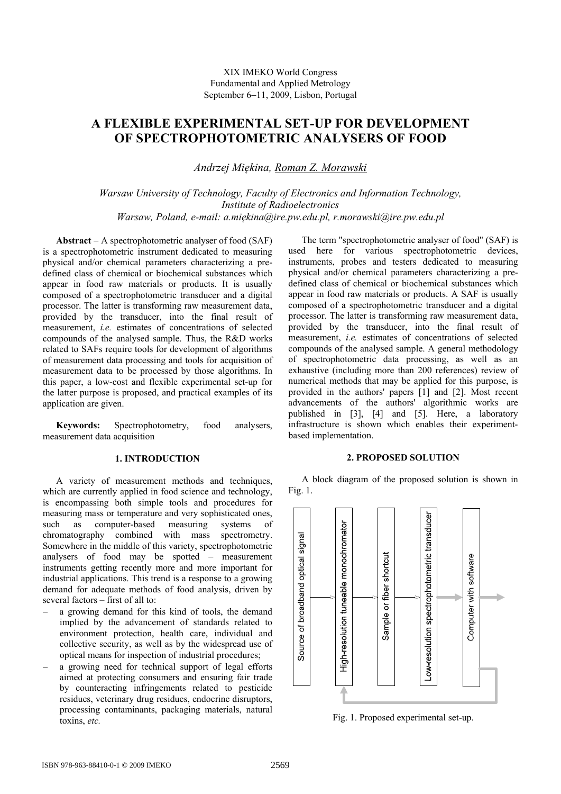# **A FLEXIBLE EXPERIMENTAL SET-UP FOR DEVELOPMENT OF SPECTROPHOTOMETRIC ANALYSERS OF FOOD**

*Andrzej Miękina, Roman Z. Morawski*

*Warsaw University of Technology, Faculty of Electronics and Information Technology, Institute of Radioelectronics Warsaw, Poland, e-mail: a.miękina@ire.pw.edu.pl, r.morawski@ire.pw.edu.pl* 

**Abstract** − A spectrophotometric analyser of food (SAF) is a spectrophotometric instrument dedicated to measuring physical and/or chemical parameters characterizing a predefined class of chemical or biochemical substances which appear in food raw materials or products. It is usually composed of a spectrophotometric transducer and a digital processor. The latter is transforming raw measurement data, provided by the transducer, into the final result of measurement, *i.e.* estimates of concentrations of selected compounds of the analysed sample. Thus, the R&D works related to SAFs require tools for development of algorithms of measurement data processing and tools for acquisition of measurement data to be processed by those algorithms. In this paper, a low-cost and flexible experimental set-up for the latter purpose is proposed, and practical examples of its application are given.

**Keywords:** Spectrophotometry, food analysers, measurement data acquisition

## **1. INTRODUCTION**

A variety of measurement methods and techniques, which are currently applied in food science and technology, is encompassing both simple tools and procedures for measuring mass or temperature and very sophisticated ones, such as computer-based measuring systems of chromatography combined with mass spectrometry. Somewhere in the middle of this variety, spectrophotometric analysers of food may be spotted – measurement instruments getting recently more and more important for industrial applications. This trend is a response to a growing demand for adequate methods of food analysis, driven by several factors – first of all to:

- a growing demand for this kind of tools, the demand implied by the advancement of standards related to environment protection, health care, individual and collective security, as well as by the widespread use of optical means for inspection of industrial procedures;
- a growing need for technical support of legal efforts aimed at protecting consumers and ensuring fair trade by counteracting infringements related to pesticide residues, veterinary drug residues, endocrine disruptors, processing contaminants, packaging materials, natural toxins, *etc.*

The term "spectrophotometric analyser of food" (SAF) is used here for various spectrophotometric devices, instruments, probes and testers dedicated to measuring physical and/or chemical parameters characterizing a predefined class of chemical or biochemical substances which appear in food raw materials or products. A SAF is usually composed of a spectrophotometric transducer and a digital processor. The latter is transforming raw measurement data, provided by the transducer, into the final result of measurement, *i.e.* estimates of concentrations of selected compounds of the analysed sample. A general methodology of spectrophotometric data processing, as well as an exhaustive (including more than 200 references) review of numerical methods that may be applied for this purpose, is provided in the authors' papers [1] and [2]. Most recent advancements of the authors' algorithmic works are published in [3], [4] and [5]. Here, a laboratory infrastructure is shown which enables their experimentbased implementation.

## **2. PROPOSED SOLUTION**

A block diagram of the proposed solution is shown in Fig. 1.



Fig. 1. Proposed experimental set-up.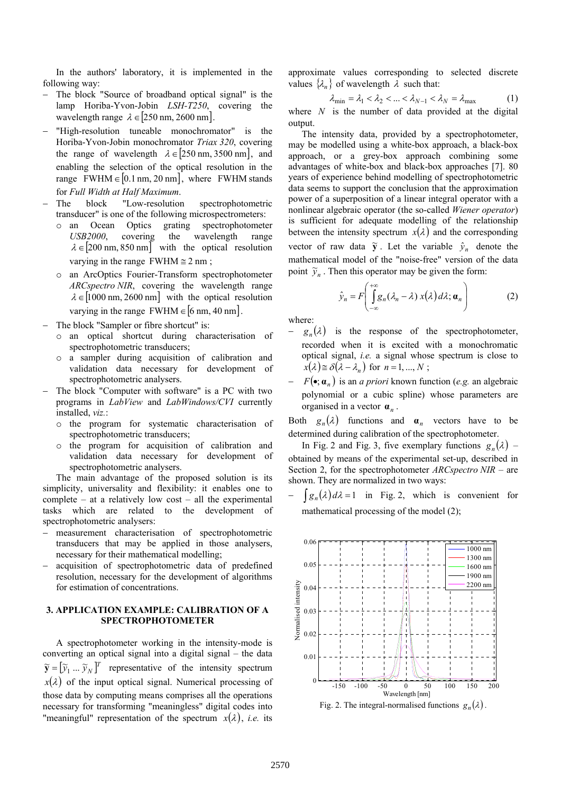In the authors' laboratory, it is implemented in the following way:

- The block "Source of broadband optical signal" is the lamp Horiba-Yvon-Jobin *LSH-T250*, covering the wavelength range  $\lambda \in [250 \text{ nm}, 2600 \text{ nm}]$ .
- "High-resolution tuneable monochromator" is the Horiba-Yvon-Jobin monochromator *Triax 320*, covering the range of wavelength  $\lambda \in [250 \text{ nm}, 3500 \text{ nm}]$ , and enabling the selection of the optical resolution in the range FWHM  $\in [0.1 \text{ nm}, 20 \text{ nm}]$ , where FWHM stands for *Full Width at Half Maximum*.
- The block "Low-resolution spectrophotometric transducer" is one of the following microspectrometers:
	- o an Ocean Optics grating spectrophotometer USB2000. covering the wavelength range *USB2000*, covering the wavelength range  $\lambda \in [200 \text{ nm}, 850 \text{ nm}]$  with the optical resolution varying in the range FWHM  $\approx$  2 nm;
	- o an ArcOptics Fourier-Transform spectrophotometer *ARCspectro NIR*, covering the wavelength range  $\lambda \in [1000 \text{ nm}, 2600 \text{ nm}]$  with the optical resolution varying in the range FWHM  $\in$  [6 nm, 40 nm].
- The block "Sampler or fibre shortcut" is:
	- o an optical shortcut during characterisation of spectrophotometric transducers;
	- o a sampler during acquisition of calibration and validation data necessary for development of spectrophotometric analysers.
- The block "Computer with software" is a PC with two programs in *LabView* and *LabWindows/CVI* currently installed, *viz.*:
	- o the program for systematic characterisation of spectrophotometric transducers;
	- o the program for acquisition of calibration and validation data necessary for development of spectrophotometric analysers.

The main advantage of the proposed solution is its simplicity, universality and flexibility: it enables one to complete – at a relatively low cost – all the experimental tasks which are related to the development of spectrophotometric analysers:

- − measurement characterisation of spectrophotometric transducers that may be applied in those analysers, necessary for their mathematical modelling;
- acquisition of spectrophotometric data of predefined resolution, necessary for the development of algorithms for estimation of concentrations.

## **3. APPLICATION EXAMPLE: CALIBRATION OF A SPECTROPHOTOMETER**

A spectrophotometer working in the intensity-mode is converting an optical signal into a digital signal – the data  $\widetilde{\mathbf{y}} = [\widetilde{y}_1 \dots \widetilde{y}_N]^T$  representative of the intensity spectrum  $x(\lambda)$  of the input optical signal. Numerical processing of those data by computing means comprises all the operations necessary for transforming "meaningless" digital codes into "meaningful" representation of the spectrum  $x(\lambda)$ , *i.e.* its

approximate values corresponding to selected discrete values  $\{\lambda_n\}$  of wavelength  $\lambda$  such that:

$$
\lambda_{\min} = \lambda_1 < \lambda_2 < \dots < \lambda_{N-1} < \lambda_N = \lambda_{\max} \tag{1}
$$

where  $N$  is the number of data provided at the digital output.

The intensity data, provided by a spectrophotometer, may be modelled using a white-box approach, a black-box approach, or a grey-box approach combining some advantages of white-box and black-box approaches [7]. 80 years of experience behind modelling of spectrophotometric data seems to support the conclusion that the approximation power of a superposition of a linear integral operator with a nonlinear algebraic operator (the so-called *Wiener operator*) is sufficient for adequate modelling of the relationship between the intensity spectrum  $x(\lambda)$  and the corresponding vector of raw data  $\tilde{y}$ . Let the variable  $\hat{y}_n$  denote the mathematical model of the "noise-free" version of the data point  $\widetilde{y}_n$ . Then this operator may be given the form:

$$
\hat{y}_n = F\left(\int_{-\infty}^{+\infty} g_n(\lambda_n - \lambda) x(\lambda) d\lambda; \mathbf{a}_n\right)
$$
 (2)

where:

- $-g_n(\lambda)$  is the response of the spectrophotometer, recorded when it is excited with a monochromatic optical signal, *i.e.* a signal whose spectrum is close to  $x(\lambda) \equiv \delta(\lambda - \lambda_n)$  for  $n = 1, ..., N$ ;
- − ( ) *F* **α***<sup>n</sup>* •; is an *a priori* known function (*e.g.* an algebraic polynomial or a cubic spline) whose parameters are organised in a vector **α***<sup>n</sup>* .

Both  $g_n(\lambda)$  functions and  $\alpha_n$  vectors have to be determined during calibration of the spectrophotometer.

In Fig. 2 and Fig. 3, five exemplary functions  $g_n(\lambda)$  – obtained by means of the experimental set-up, described in Section 2, for the spectrophotometer *ARCspectro NIR* – are shown. They are normalized in two ways:

 $[g_n(\lambda)d\lambda=1$  in Fig. 2, which is convenient for mathematical processing of the model (2);



Fig. 2. The integral-normalised functions  $g_n(\lambda)$ .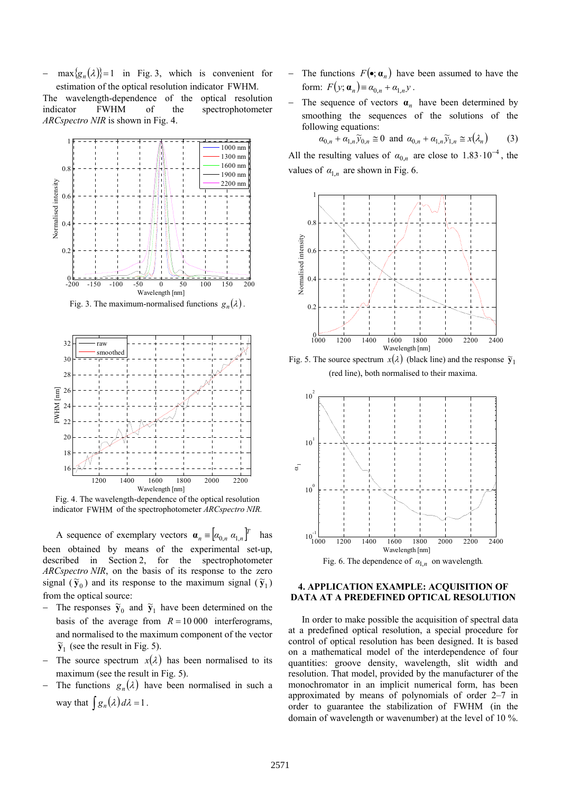$\max\{g_n(\lambda)\}=1$  in Fig. 3, which is convenient for estimation of the optical resolution indicator FWHM.

The wavelength-dependence of the optical resolution indicator FWHM of the spectrophotometer *ARCspectro NIR* is shown in Fig. 4.



Fig. 3. The maximum-normalised functions  $g_n(\lambda)$ .



Fig. 4. The wavelength-dependence of the optical resolution indicator FWHM of the spectrophotometer *ARCspectro NIR.*

A sequence of exemplary vectors  $\mathbf{a}_n = [a_{0,n} a_{1,n}]^T$  has been obtained by means of the experimental set-up, described in Section 2, for the spectrophotometer *ARCspectro NIR*, on the basis of its response to the zero signal  $(\tilde{\mathbf{y}}_0)$  and its response to the maximum signal  $(\tilde{\mathbf{y}}_1)$ from the optical source:

- $\overline{y}_0$  and  $\overline{y}_1$  have been determined on the basis of the average from  $R = 10000$  interferograms, and normalised to the maximum component of the vector  $\widetilde{\mathbf{y}}_1$  (see the result in Fig. 5).
- The source spectrum  $x(\lambda)$  has been normalised to its maximum (see the result in Fig. 5).
- The functions  $g_n(\lambda)$  have been normalised in such a way that  $\int g_n(\lambda) d\lambda = 1$ .
- The functions  $F(\bullet; \alpha_n)$  have been assumed to have the form:  $F(y; \mathbf{a}_n) = \alpha_{0,n} + \alpha_{1,n} y$ .
- − The sequence of vectors **α***n* have been determined by smoothing the sequences of the solutions of the following equations:

$$
\alpha_{0,n} + \alpha_{1,n} \widetilde{y}_{0,n} \cong 0 \text{ and } \alpha_{0,n} + \alpha_{1,n} \widetilde{y}_{1,n} \cong x(\lambda_n) \qquad (3)
$$

All the resulting values of  $\alpha_{0,n}$  are close to  $1.83 \cdot 10^{-4}$ , the values of  $\alpha_{1n}$  are shown in Fig. 6.



Fig. 5. The source spectrum  $x(\lambda)$  (black line) and the response  $\tilde{y}_1$ (red line), both normalised to their maxima.



## **4. APPLICATION EXAMPLE: ACQUISITION OF DATA AT A PREDEFINED OPTICAL RESOLUTION**

In order to make possible the acquisition of spectral data at a predefined optical resolution, a special procedure for control of optical resolution has been designed. It is based on a mathematical model of the interdependence of four quantities: groove density, wavelength, slit width and resolution. That model, provided by the manufacturer of the monochromator in an implicit numerical form, has been approximated by means of polynomials of order 2–7 in order to guarantee the stabilization of FWHM (in the domain of wavelength or wavenumber) at the level of 10 %.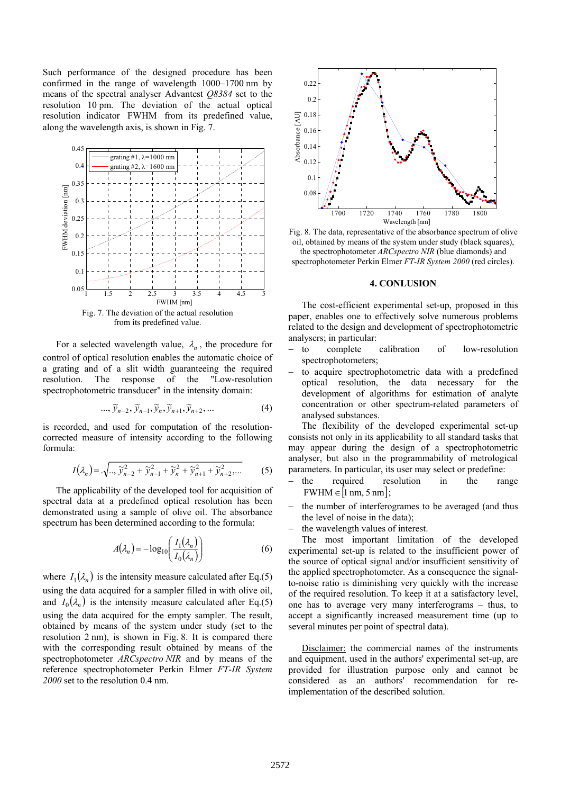Such performance of the designed procedure has been confirmed in the range of wavelength 1000–1700 nm by means of the spectral analyser Advantest *Q8384* set to the resolution 10 pm. The deviation of the actual optical resolution indicator FWHM from its predefined value, along the wavelength axis, is shown in Fig. 7.



from its predefined value.

For a selected wavelength value,  $\lambda_n$ , the procedure for control of optical resolution enables the automatic choice of a grating and of a slit width guaranteeing the required resolution. The response of the "Low-resolution spectrophotometric transducer" in the intensity domain:

$$
\ldots, \widetilde{y}_{n-2}, \widetilde{y}_{n-1}, \widetilde{y}_n, \widetilde{y}_{n+1}, \widetilde{y}_{n+2}, \ldots \tag{4}
$$

is recorded, and used for computation of the resolutioncorrected measure of intensity according to the following formula:

$$
I(\lambda_n) = \sqrt{..,\tilde{y}_{n-2}^2 + \tilde{y}_{n-1}^2 + \tilde{y}_n^2 + \tilde{y}_{n+1}^2 + \tilde{y}_{n+2}^2, ...}
$$
 (5)

The applicability of the developed tool for acquisition of spectral data at a predefined optical resolution has been demonstrated using a sample of olive oil. The absorbance spectrum has been determined according to the formula:

$$
A(\lambda_n) = -\log_{10}\left(\frac{I_1(\lambda_n)}{I_0(\lambda_n)}\right) \tag{6}
$$

where  $I_1(\lambda_n)$  is the intensity measure calculated after Eq.(5) using the data acquired for a sampler filled in with olive oil, and  $I_0(\lambda_n)$  is the intensity measure calculated after Eq.(5) using the data acquired for the empty sampler. The result, obtained by means of the system under study (set to the resolution 2 nm), is shown in Fig. 8. It is compared there with the corresponding result obtained by means of the spectrophotometer *ARCspectro NIR* and by means of the reference spectrophotometer Perkin Elmer *FT-IR System 2000* set to the resolution 0.4 nm.



Fig. 8. The data, representative of the absorbance spectrum of olive oil, obtained by means of the system under study (black squares), the spectrophotometer *ARCspectro NIR* (blue diamonds) and spectrophotometer Perkin Elmer *FT-IR System 2000* (red circles).

## **4. CONLUSION**

The cost-efficient experimental set-up, proposed in this paper, enables one to effectively solve numerous problems related to the design and development of spectrophotometric analysers; in particular:

- to complete calibration of low-resolution spectrophotometers;
- to acquire spectrophotometric data with a predefined optical resolution, the data necessary for the development of algorithms for estimation of analyte concentration or other spectrum-related parameters of analysed substances.

The flexibility of the developed experimental set-up consists not only in its applicability to all standard tasks that may appear during the design of a spectrophotometric analyser, but also in the programmability of metrological parameters. In particular, its user may select or predefine:

- the required resolution in the range  $FWHM \in [1 \text{ nm}, 5 \text{ nm}];$
- the number of interferogrames to be averaged (and thus the level of noise in the data);
- the wavelength values of interest.

The most important limitation of the developed experimental set-up is related to the insufficient power of the source of optical signal and/or insufficient sensitivity of the applied spectrophotometer. As a consequence the signalto-noise ratio is diminishing very quickly with the increase of the required resolution. To keep it at a satisfactory level, one has to average very many interferograms – thus, to accept a significantly increased measurement time (up to several minutes per point of spectral data).

Disclaimer: the commercial names of the instruments and equipment, used in the authors' experimental set-up, are provided for illustration purpose only and cannot be considered as an authors' recommendation for reimplementation of the described solution.